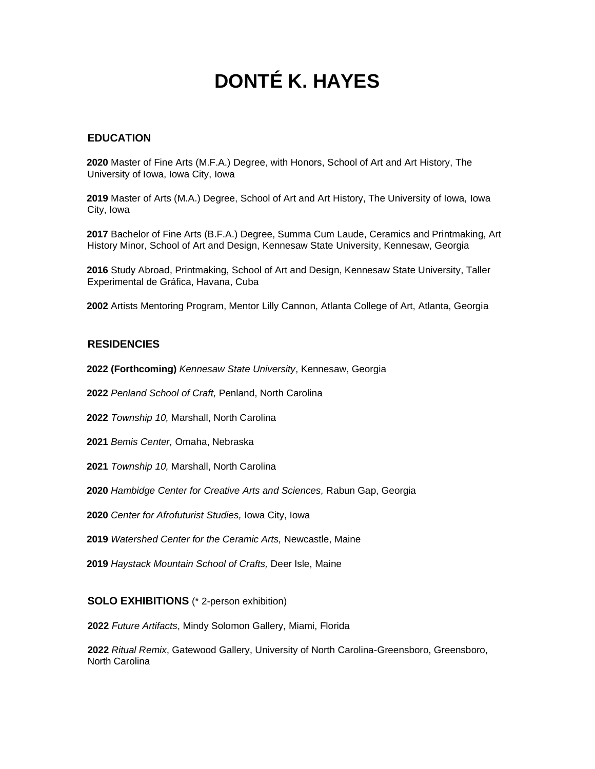# **DONTÉ K. HAYES**

# **EDUCATION**

**2020** Master of Fine Arts (M.F.A.) Degree, with Honors, School of Art and Art History, The University of Iowa, Iowa City, Iowa

**2019** Master of Arts (M.A.) Degree, School of Art and Art History, The University of Iowa, Iowa City, Iowa

**2017** Bachelor of Fine Arts (B.F.A.) Degree, Summa Cum Laude, Ceramics and Printmaking, Art History Minor, School of Art and Design, Kennesaw State University, Kennesaw, Georgia

**2016** Study Abroad, Printmaking, School of Art and Design, Kennesaw State University, Taller Experimental de Gráfica, Havana, Cuba

**2002** Artists Mentoring Program, Mentor Lilly Cannon, Atlanta College of Art, Atlanta, Georgia

### **RESIDENCIES**

- **2022 (Forthcoming)** *Kennesaw State University*, Kennesaw, Georgia
- **2022** *Penland School of Craft,* Penland, North Carolina
- **2022** *Township 10,* Marshall, North Carolina
- **2021** *Bemis Center,* Omaha, Nebraska
- **2021** *Township 10,* Marshall, North Carolina
- **2020** *Hambidge Center for Creative Arts and Sciences,* Rabun Gap, Georgia
- **2020** *Center for Afrofuturist Studies,* Iowa City, Iowa
- **2019** *Watershed Center for the Ceramic Arts,* Newcastle, Maine
- **2019** *Haystack Mountain School of Crafts,* Deer Isle, Maine

#### **SOLO EXHIBITIONS** (\* 2-person exhibition)

**2022** *Future Artifacts*, Mindy Solomon Gallery, Miami, Florida

**2022** *Ritual Remix*, Gatewood Gallery, University of North Carolina-Greensboro, Greensboro, North Carolina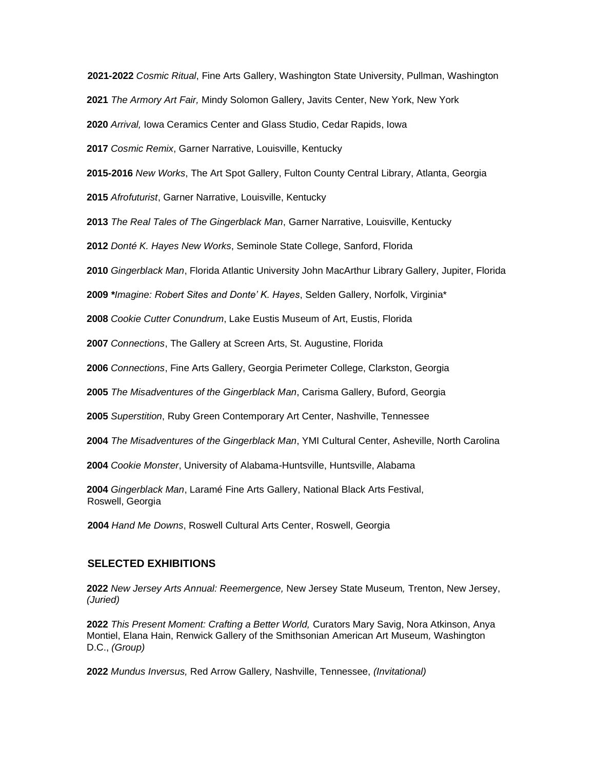**2021-2022** *Cosmic Ritual*, Fine Arts Gallery, Washington State University, Pullman, Washington

*The Armory Art Fair,* Mindy Solomon Gallery, Javits Center, New York, New York

*Arrival,* Iowa Ceramics Center and Glass Studio, Cedar Rapids, Iowa

*Cosmic Remix*, Garner Narrative, Louisville, Kentucky

**2015-2016** *New Works*, The Art Spot Gallery, Fulton County Central Library, Atlanta, Georgia

*Afrofuturist*, Garner Narrative, Louisville, Kentucky

*The Real Tales of The Gingerblack Man*, Garner Narrative, Louisville, Kentucky

*Donté K. Hayes New Works*, Seminole State College, Sanford, Florida

*Gingerblack Man*, Florida Atlantic University John MacArthur Library Gallery, Jupiter, Florida

*\*Imagine: Robert Sites and Donte' K. Hayes*, Selden Gallery, Norfolk, Virginia\*

*Cookie Cutter Conundrum*, Lake Eustis Museum of Art, Eustis, Florida

*Connections*, The Gallery at Screen Arts, St. Augustine, Florida

*Connections*, Fine Arts Gallery, Georgia Perimeter College, Clarkston, Georgia

*The Misadventures of the Gingerblack Man*, Carisma Gallery, Buford, Georgia

*Superstition*, Ruby Green Contemporary Art Center, Nashville, Tennessee

*The Misadventures of the Gingerblack Man*, YMI Cultural Center, Asheville, North Carolina

*Cookie Monster*, University of Alabama-Huntsville, Huntsville, Alabama

 *Gingerblack Man*, Laramé Fine Arts Gallery, National Black Arts Festival, Roswell, Georgia

*Hand Me Downs*, Roswell Cultural Arts Center, Roswell, Georgia

#### **SELECTED EXHIBITIONS**

 *New Jersey Arts Annual: Reemergence,* New Jersey State Museum*,* Trenton, New Jersey, *(Juried)*

 *This Present Moment: Crafting a Better World,* Curators Mary Savig, Nora Atkinson, Anya Montiel, Elana Hain, Renwick Gallery of the Smithsonian American Art Museum*,* Washington D.C., *(Group)*

*Mundus Inversus,* Red Arrow Gallery*,* Nashville, Tennessee, *(Invitational)*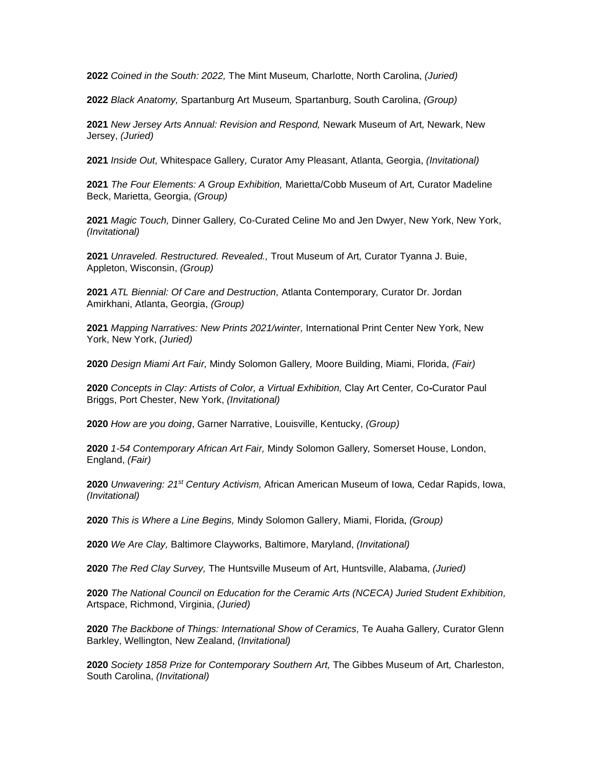*Coined in the South: 2022,* The Mint Museum*,* Charlotte, North Carolina, *(Juried)*

*Black Anatomy,* Spartanburg Art Museum*,* Spartanburg, South Carolina, *(Group)*

 *New Jersey Arts Annual: Revision and Respond,* Newark Museum of Art*,* Newark, New Jersey, *(Juried)*

*Inside Out,* Whitespace Gallery*,* Curator Amy Pleasant, Atlanta, Georgia, *(Invitational)*

 *The Four Elements: A Group Exhibition,* Marietta/Cobb Museum of Art*,* Curator Madeline Beck, Marietta, Georgia, *(Group)*

 *Magic Touch,* Dinner Gallery*,* Co-Curated Celine Mo and Jen Dwyer, New York, New York, *(Invitational)*

 *Unraveled. Restructured. Revealed.,* Trout Museum of Art*,* Curator Tyanna J. Buie, Appleton, Wisconsin, *(Group)*

 *ATL Biennial: Of Care and Destruction,* Atlanta Contemporary*,* Curator Dr. Jordan Amirkhani, Atlanta, Georgia, *(Group)*

 *Mapping Narratives: New Prints 2021/winter,* International Print Center New York, New York, New York, *(Juried)*

*Design Miami Art Fair,* Mindy Solomon Gallery*,* Moore Building, Miami, Florida, *(Fair)*

 *Concepts in Clay: Artists of Color, a Virtual Exhibition,* Clay Art Center*,* Co**-**Curator Paul Briggs, Port Chester, New York, *(Invitational)*

*How are you doing*, Garner Narrative, Louisville, Kentucky, *(Group)*

 *1-54 Contemporary African Art Fair,* Mindy Solomon Gallery*,* Somerset House, London, England, *(Fair)*

 *Unwavering: 21st Century Activism,* African American Museum of Iowa*,* Cedar Rapids, Iowa, *(Invitational)*

*This is Where a Line Begins,* Mindy Solomon Gallery, Miami, Florida, *(Group)*

*We Are Clay,* Baltimore Clayworks, Baltimore, Maryland, *(Invitational)*

*The Red Clay Survey,* The Huntsville Museum of Art, Huntsville, Alabama, *(Juried)*

 *The National Council on Education for the Ceramic Arts (NCECA) Juried Student Exhibition,* Artspace, Richmond, Virginia, *(Juried)*

 *The Backbone of Things: International Show of Ceramics,* Te Auaha Gallery*,* Curator Glenn Barkley, Wellington, New Zealand, *(Invitational)*

 *Society 1858 Prize for Contemporary Southern Art,* The Gibbes Museum of Art*,* Charleston, South Carolina, *(Invitational)*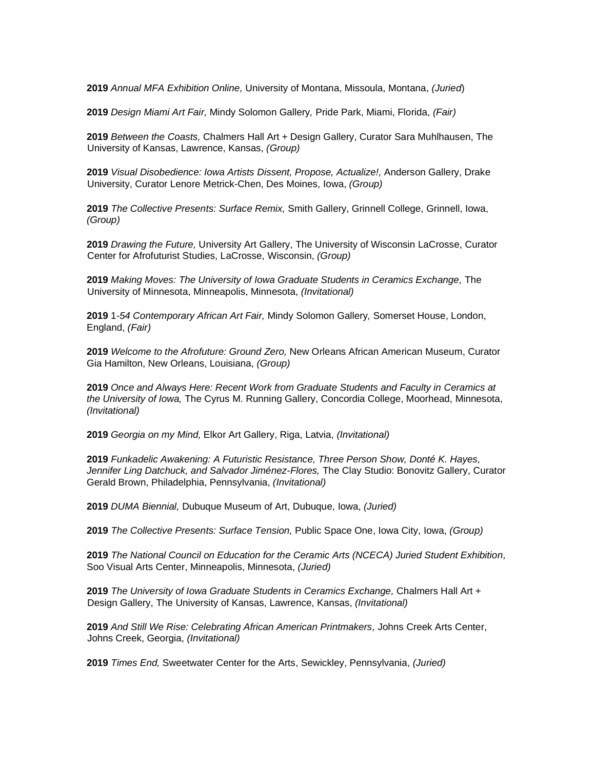**2019** *Annual MFA Exhibition Online,* University of Montana, Missoula, Montana, *(Juried*)

**2019** *Design Miami Art Fair,* Mindy Solomon Gallery*,* Pride Park, Miami, Florida, *(Fair)*

**2019** *Between the Coasts,* Chalmers Hall Art + Design Gallery, Curator Sara Muhlhausen, The University of Kansas, Lawrence, Kansas, *(Group)*

**2019** *Visual Disobedience: Iowa Artists Dissent, Propose, Actualize!,* Anderson Gallery, Drake University, Curator Lenore Metrick-Chen, Des Moines, Iowa, *(Group)*

**2019** *The Collective Presents: Surface Remix,* Smith Gallery, Grinnell College, Grinnell, Iowa, *(Group)*

**2019** *Drawing the Future,* University Art Gallery, The University of Wisconsin LaCrosse, Curator Center for Afrofuturist Studies, LaCrosse, Wisconsin, *(Group)*

**2019** *Making Moves: The University of Iowa Graduate Students in Ceramics Exchange,* The University of Minnesota, Minneapolis, Minnesota, *(Invitational)*

**2019** 1*-54 Contemporary African Art Fair,* Mindy Solomon Gallery*,* Somerset House, London, England, *(Fair)*

**2019** *Welcome to the Afrofuture: Ground Zero,* New Orleans African American Museum, Curator Gia Hamilton, New Orleans, Louisiana, *(Group)*

**2019** *Once and Always Here: Recent Work from Graduate Students and Faculty in Ceramics at the University of Iowa,* The Cyrus M. Running Gallery, Concordia College, Moorhead, Minnesota, *(Invitational)*

**2019** *Georgia on my Mind,* Elkor Art Gallery, Riga, Latvia, *(Invitational)*

**2019** *Funkadelic Awakening: A Futuristic Resistance, Three Person Show, Donté K. Hayes, Jennifer Ling Datchuck, and Salvador Jiménez-Flores,* The Clay Studio: Bonovitz Gallery, Curator Gerald Brown, Philadelphia, Pennsylvania, *(Invitational)*

**2019** *DUMA Biennial,* Dubuque Museum of Art, Dubuque, Iowa, *(Juried)*

**2019** *The Collective Presents: Surface Tension,* Public Space One, Iowa City, Iowa, *(Group)*

**2019** *The National Council on Education for the Ceramic Arts (NCECA) Juried Student Exhibition,* Soo Visual Arts Center, Minneapolis, Minnesota, *(Juried)*

**2019** *The University of Iowa Graduate Students in Ceramics Exchange,* Chalmers Hall Art + Design Gallery, The University of Kansas, Lawrence, Kansas, *(Invitational)*

**2019** *And Still We Rise: Celebrating African American Printmakers,* Johns Creek Arts Center, Johns Creek, Georgia, *(Invitational)*

**2019** *Times End,* Sweetwater Center for the Arts, Sewickley, Pennsylvania, *(Juried)*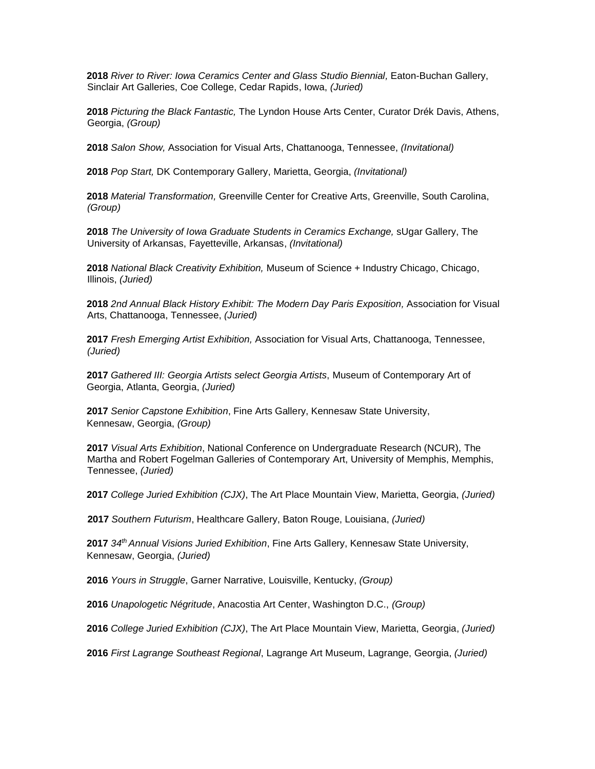*River to River: Iowa Ceramics Center and Glass Studio Biennial,* Eaton-Buchan Gallery, Sinclair Art Galleries, Coe College, Cedar Rapids, Iowa, *(Juried)*

*Picturing the Black Fantastic,* The Lyndon House Arts Center, Curator Drék Davis, Athens, Georgia, *(Group)*

*Salon Show,* Association for Visual Arts, Chattanooga, Tennessee, *(Invitational)*

*Pop Start,* DK Contemporary Gallery, Marietta, Georgia, *(Invitational)*

*Material Transformation,* Greenville Center for Creative Arts, Greenville, South Carolina, *(Group)*

*The University of Iowa Graduate Students in Ceramics Exchange,* sUgar Gallery, The University of Arkansas, Fayetteville, Arkansas, *(Invitational)*

 *National Black Creativity Exhibition,* Museum of Science + Industry Chicago, Chicago, Illinois, *(Juried)*

*2nd Annual Black History Exhibit: The Modern Day Paris Exposition,* Association for Visual Arts, Chattanooga, Tennessee, *(Juried)*

*Fresh Emerging Artist Exhibition,* Association for Visual Arts, Chattanooga, Tennessee, *(Juried)*

 *Gathered III: Georgia Artists select Georgia Artists*, Museum of Contemporary Art of Georgia, Atlanta, Georgia, *(Juried)*

*Senior Capstone Exhibition*, Fine Arts Gallery, Kennesaw State University, Kennesaw, Georgia, *(Group)*

*Visual Arts Exhibition*, National Conference on Undergraduate Research (NCUR), The Martha and Robert Fogelman Galleries of Contemporary Art, University of Memphis, Memphis, Tennessee, *(Juried)*

*College Juried Exhibition (CJX)*, The Art Place Mountain View, Marietta, Georgia, *(Juried)*

*Southern Futurism*, Healthcare Gallery, Baton Rouge, Louisiana, *(Juried)*

*34th Annual Visions Juried Exhibition*, Fine Arts Gallery, Kennesaw State University, Kennesaw, Georgia, *(Juried)*

*Yours in Struggle*, Garner Narrative, Louisville, Kentucky, *(Group)*

*Unapologetic Négritude*, Anacostia Art Center, Washington D.C., *(Group)*

*College Juried Exhibition (CJX)*, The Art Place Mountain View, Marietta, Georgia, *(Juried)*

*First Lagrange Southeast Regional*, Lagrange Art Museum, Lagrange, Georgia, *(Juried)*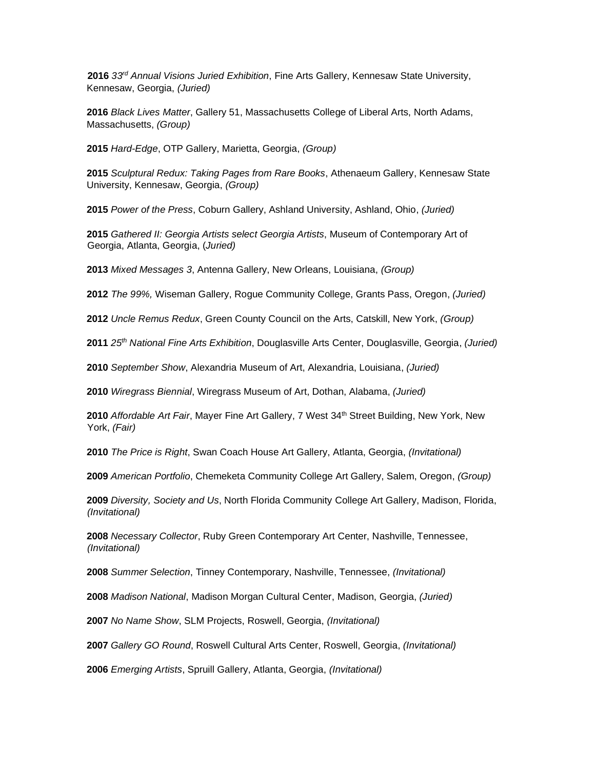*33rd Annual Visions Juried Exhibition*, Fine Arts Gallery, Kennesaw State University, Kennesaw, Georgia, *(Juried)*

*Black Lives Matter*, Gallery 51, Massachusetts College of Liberal Arts, North Adams, Massachusetts, *(Group)*

*Hard-Edge*, OTP Gallery, Marietta, Georgia, *(Group)*

*Sculptural Redux: Taking Pages from Rare Books*, Athenaeum Gallery, Kennesaw State University, Kennesaw, Georgia, *(Group)*

*Power of the Press*, Coburn Gallery, Ashland University, Ashland, Ohio, *(Juried)*

 *Gathered II: Georgia Artists select Georgia Artists*, Museum of Contemporary Art of Georgia, Atlanta, Georgia, (*Juried)*

*Mixed Messages 3*, Antenna Gallery, New Orleans, Louisiana, *(Group)*

*The 99%,* Wiseman Gallery, Rogue Community College, Grants Pass, Oregon, *(Juried)*

*Uncle Remus Redux*, Green County Council on the Arts, Catskill, New York, *(Group)*

*25th National Fine Arts Exhibition*, Douglasville Arts Center, Douglasville, Georgia, *(Juried)*

*September Show*, Alexandria Museum of Art, Alexandria, Louisiana, *(Juried)*

*Wiregrass Biennial*, Wiregrass Museum of Art, Dothan, Alabama, *(Juried)*

2010 Affordable Art Fair, Mayer Fine Art Gallery, 7 West 34<sup>th</sup> Street Building, New York, New York, *(Fair)*

*The Price is Right*, Swan Coach House Art Gallery, Atlanta, Georgia, *(Invitational)*

*American Portfolio*, Chemeketa Community College Art Gallery, Salem, Oregon, *(Group)*

 *Diversity, Society and Us*, North Florida Community College Art Gallery, Madison, Florida, *(Invitational)*

 *Necessary Collector*, Ruby Green Contemporary Art Center, Nashville, Tennessee, *(Invitational)*

*Summer Selection*, Tinney Contemporary, Nashville, Tennessee, *(Invitational)*

*Madison National*, Madison Morgan Cultural Center, Madison, Georgia, *(Juried)*

*No Name Show*, SLM Projects, Roswell, Georgia, *(Invitational)*

*Gallery GO Round*, Roswell Cultural Arts Center, Roswell, Georgia, *(Invitational)*

*Emerging Artists*, Spruill Gallery, Atlanta, Georgia, *(Invitational)*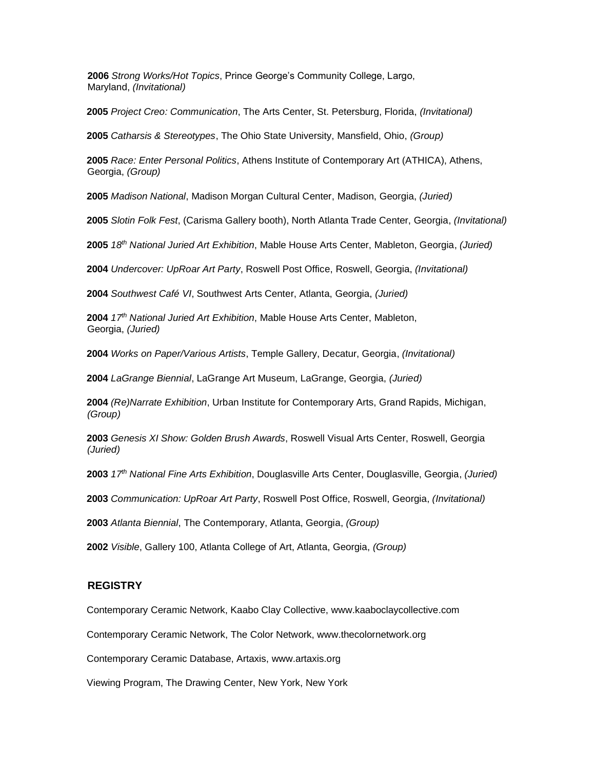*Strong Works/Hot Topics*, Prince George's Community College, Largo, Maryland, *(Invitational)*

*Project Creo: Communication*, The Arts Center, St. Petersburg, Florida, *(Invitational)*

*Catharsis & Stereotypes*, The Ohio State University, Mansfield, Ohio, *(Group)*

 *Race: Enter Personal Politics*, Athens Institute of Contemporary Art (ATHICA), Athens, Georgia, *(Group)*

*Madison National*, Madison Morgan Cultural Center, Madison, Georgia, *(Juried)*

*Slotin Folk Fest*, (Carisma Gallery booth), North Atlanta Trade Center, Georgia, *(Invitational)*

*18th National Juried Art Exhibition*, Mable House Arts Center, Mableton, Georgia, *(Juried)*

*Undercover: UpRoar Art Party*, Roswell Post Office, Roswell, Georgia, *(Invitational)*

*Southwest Café VI*, Southwest Arts Center, Atlanta, Georgia, *(Juried)*

 *17th National Juried Art Exhibition*, Mable House Arts Center, Mableton, Georgia, *(Juried)*

*Works on Paper/Various Artists*, Temple Gallery, Decatur, Georgia, *(Invitational)*

*LaGrange Biennial*, LaGrange Art Museum, LaGrange, Georgia, *(Juried)*

 *(Re)Narrate Exhibition*, Urban Institute for Contemporary Arts, Grand Rapids, Michigan, *(Group)*

 *Genesis XI Show: Golden Brush Awards*, Roswell Visual Arts Center, Roswell, Georgia *(Juried)* 

*17th National Fine Arts Exhibition*, Douglasville Arts Center, Douglasville, Georgia, *(Juried)*

*Communication: UpRoar Art Party*, Roswell Post Office, Roswell, Georgia, *(Invitational)*

*Atlanta Biennial*, The Contemporary, Atlanta, Georgia, *(Group)*

*Visible*, Gallery 100, Atlanta College of Art, Atlanta, Georgia, *(Group)*

## **REGISTRY**

Contemporary Ceramic Network, Kaabo Clay Collective, www.kaaboclaycollective.com

Contemporary Ceramic Network, The Color Network, www.thecolornetwork.org

Contemporary Ceramic Database, Artaxis, www.artaxis.org

Viewing Program, The Drawing Center, New York, New York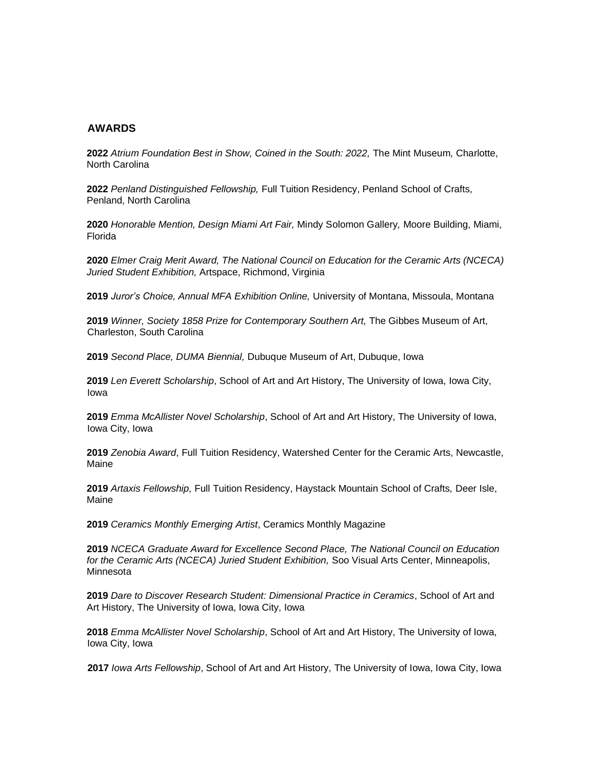## **AWARDS**

**2022** *Atrium Foundation Best in Show, Coined in the South: 2022,* The Mint Museum*,* Charlotte, North Carolina

**2022** *Penland Distinguished Fellowship,* Full Tuition Residency, Penland School of Crafts*,* Penland, North Carolina

**2020** *Honorable Mention, Design Miami Art Fair,* Mindy Solomon Gallery*,* Moore Building, Miami, Florida

**2020** *Elmer Craig Merit Award, The National Council on Education for the Ceramic Arts (NCECA) Juried Student Exhibition,* Artspace, Richmond, Virginia

**2019** *Juror's Choice, Annual MFA Exhibition Online,* University of Montana, Missoula, Montana

**2019** *Winner, Society 1858 Prize for Contemporary Southern Art,* The Gibbes Museum of Art, Charleston, South Carolina

**2019** *Second Place, DUMA Biennial,* Dubuque Museum of Art, Dubuque, Iowa

**2019** *Len Everett Scholarship*, School of Art and Art History, The University of Iowa, Iowa City, Iowa

**2019** *Emma McAllister Novel Scholarship*, School of Art and Art History, The University of Iowa, Iowa City, Iowa

**2019** *Zenobia Award*, Full Tuition Residency, Watershed Center for the Ceramic Arts, Newcastle, Maine

**2019** *Artaxis Fellowship,* Full Tuition Residency, Haystack Mountain School of Crafts*,* Deer Isle, Maine

**2019** *Ceramics Monthly Emerging Artist*, Ceramics Monthly Magazine

**2019** *NCECA Graduate Award for Excellence Second Place, The National Council on Education for the Ceramic Arts (NCECA) Juried Student Exhibition,* Soo Visual Arts Center, Minneapolis, Minnesota

**2019** *Dare to Discover Research Student: Dimensional Practice in Ceramics*, School of Art and Art History, The University of Iowa, Iowa City, Iowa

**2018** *Emma McAllister Novel Scholarship*, School of Art and Art History, The University of Iowa, Iowa City, Iowa

**2017** *Iowa Arts Fellowship*, School of Art and Art History, The University of Iowa, Iowa City, Iowa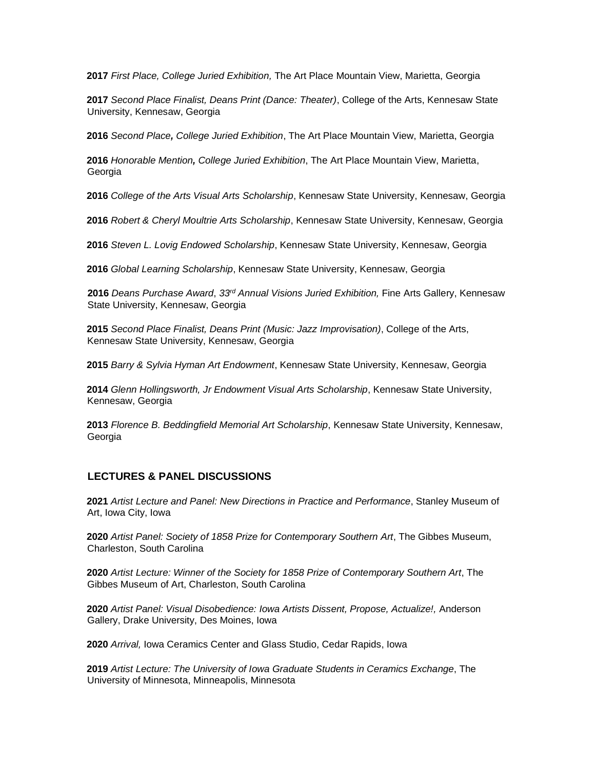*First Place, College Juried Exhibition,* The Art Place Mountain View, Marietta, Georgia

*Second Place Finalist, Deans Print (Dance: Theater)*, College of the Arts, Kennesaw State University, Kennesaw, Georgia

*Second Place, College Juried Exhibition*, The Art Place Mountain View, Marietta, Georgia

*Honorable Mention, College Juried Exhibition*, The Art Place Mountain View, Marietta, Georgia

*College of the Arts Visual Arts Scholarship*, Kennesaw State University, Kennesaw, Georgia

*Robert & Cheryl Moultrie Arts Scholarship*, Kennesaw State University, Kennesaw, Georgia

*Steven L. Lovig Endowed Scholarship*, Kennesaw State University, Kennesaw, Georgia

*Global Learning Scholarship*, Kennesaw State University, Kennesaw, Georgia

*Deans Purchase Award*, *33rd Annual Visions Juried Exhibition,* Fine Arts Gallery, Kennesaw State University, Kennesaw, Georgia

*Second Place Finalist, Deans Print (Music: Jazz Improvisation)*, College of the Arts, Kennesaw State University, Kennesaw, Georgia

*Barry & Sylvia Hyman Art Endowment*, Kennesaw State University, Kennesaw, Georgia

*Glenn Hollingsworth, Jr Endowment Visual Arts Scholarship*, Kennesaw State University, Kennesaw, Georgia

*Florence B. Beddingfield Memorial Art Scholarship*, Kennesaw State University, Kennesaw, Georgia

## **LECTURES & PANEL DISCUSSIONS**

 *Artist Lecture and Panel: New Directions in Practice and Performance*, Stanley Museum of Art, Iowa City, Iowa

 *Artist Panel: Society of 1858 Prize for Contemporary Southern Art*, The Gibbes Museum, Charleston, South Carolina

 *Artist Lecture: Winner of the Society for 1858 Prize of Contemporary Southern Art*, The Gibbes Museum of Art, Charleston, South Carolina

 *Artist Panel: Visual Disobedience: Iowa Artists Dissent, Propose, Actualize!,* Anderson Gallery, Drake University, Des Moines, Iowa

*Arrival,* Iowa Ceramics Center and Glass Studio, Cedar Rapids, Iowa

 *Artist Lecture: The University of Iowa Graduate Students in Ceramics Exchange*, The University of Minnesota, Minneapolis, Minnesota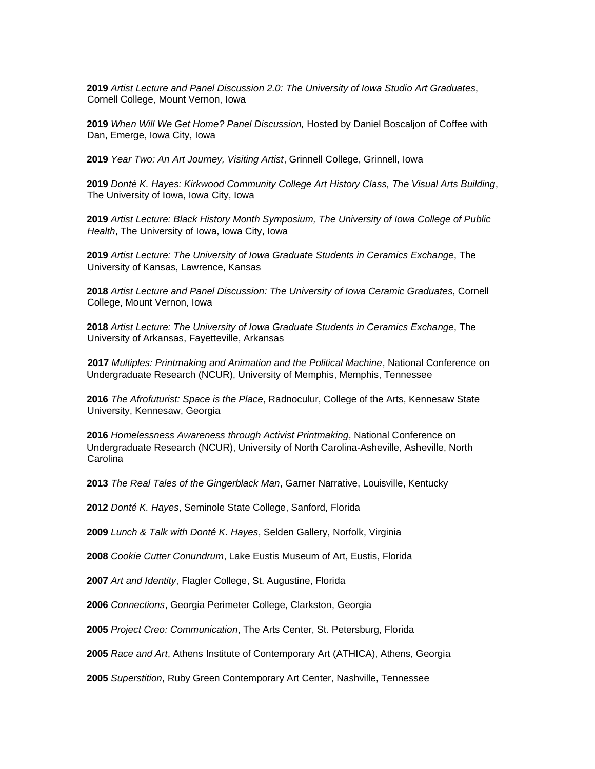*Artist Lecture and Panel Discussion 2.0: The University of Iowa Studio Art Graduates*, Cornell College, Mount Vernon, Iowa

 *When Will We Get Home? Panel Discussion,* Hosted by Daniel Boscaljon of Coffee with Dan, Emerge, Iowa City, Iowa

*Year Two: An Art Journey, Visiting Artist*, Grinnell College, Grinnell, Iowa

 *Donté K. Hayes: Kirkwood Community College Art History Class, The Visual Arts Building*, The University of Iowa, Iowa City, Iowa

 *Artist Lecture: Black History Month Symposium, The University of Iowa College of Public Health*, The University of Iowa, Iowa City, Iowa

 *Artist Lecture: The University of Iowa Graduate Students in Ceramics Exchange*, The University of Kansas, Lawrence, Kansas

*Artist Lecture and Panel Discussion: The University of Iowa Ceramic Graduates*, Cornell College, Mount Vernon, Iowa

 *Artist Lecture: The University of Iowa Graduate Students in Ceramics Exchange*, The University of Arkansas, Fayetteville, Arkansas

*Multiples: Printmaking and Animation and the Political Machine*, National Conference on Undergraduate Research (NCUR), University of Memphis, Memphis, Tennessee

 *The Afrofuturist: Space is the Place*, Radnoculur, College of the Arts, Kennesaw State University, Kennesaw, Georgia

 *Homelessness Awareness through Activist Printmaking*, National Conference on Undergraduate Research (NCUR), University of North Carolina-Asheville, Asheville, North **Carolina** 

*The Real Tales of the Gingerblack Man*, Garner Narrative, Louisville, Kentucky

*Donté K. Hayes*, Seminole State College, Sanford, Florida

*Lunch & Talk with Donté K. Hayes*, Selden Gallery, Norfolk, Virginia

*Cookie Cutter Conundrum*, Lake Eustis Museum of Art, Eustis, Florida

*Art and Identity*, Flagler College, St. Augustine, Florida

*Connections*, Georgia Perimeter College, Clarkston, Georgia

*Project Creo: Communication*, The Arts Center, St. Petersburg, Florida

*Race and Art*, Athens Institute of Contemporary Art (ATHICA), Athens, Georgia

*Superstition*, Ruby Green Contemporary Art Center, Nashville, Tennessee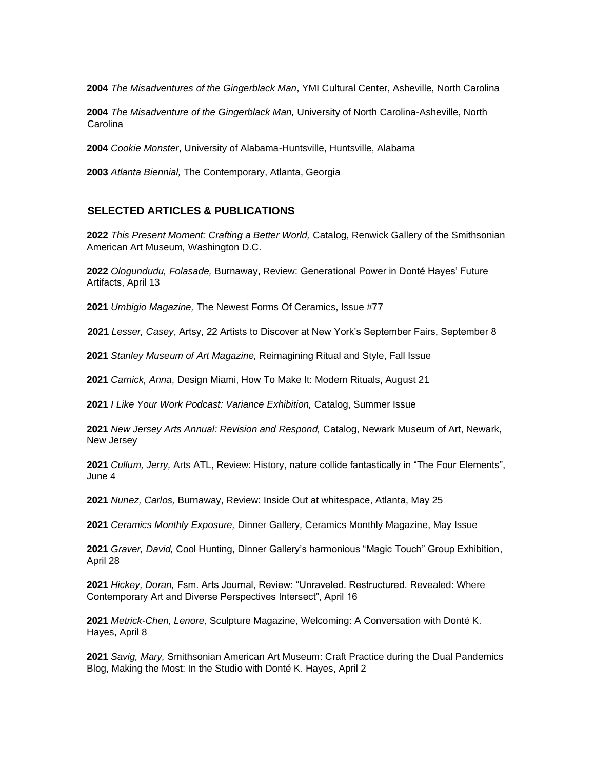*The Misadventures of the Gingerblack Man*, YMI Cultural Center, Asheville, North Carolina

*The Misadventure of the Gingerblack Man,* University of North Carolina-Asheville, North **Carolina** 

*Cookie Monster*, University of Alabama-Huntsville, Huntsville, Alabama

*Atlanta Biennial,* The Contemporary, Atlanta, Georgia

### **SELECTED ARTICLES & PUBLICATIONS**

 *This Present Moment: Crafting a Better World,* Catalog, Renwick Gallery of the Smithsonian American Art Museum*,* Washington D.C.

 *Ologundudu, Folasade,* Burnaway, Review: Generational Power in Donté Hayes' Future Artifacts, April 13

*Umbigio Magazine,* The Newest Forms Of Ceramics, Issue #77

*Lesser, Casey*, Artsy, 22 Artists to Discover at New York's September Fairs, September 8

*Stanley Museum of Art Magazine,* Reimagining Ritual and Style, Fall Issue

*Carnick, Anna*, Design Miami, How To Make It: Modern Rituals, August 21

*I Like Your Work Podcast: Variance Exhibition,* Catalog, Summer Issue

 *New Jersey Arts Annual: Revision and Respond,* Catalog, Newark Museum of Art, Newark, New Jersey

 *Cullum, Jerry,* Arts ATL, Review: History, nature collide fantastically in "The Four Elements", June 4

*Nunez, Carlos,* Burnaway, Review: Inside Out at whitespace, Atlanta, May 25

*Ceramics Monthly Exposure,* Dinner Gallery*,* Ceramics Monthly Magazine, May Issue

 *Graver, David,* Cool Hunting, Dinner Gallery's harmonious "Magic Touch" Group Exhibition, April 28

 *Hickey, Doran,* Fsm. Arts Journal, Review: "Unraveled. Restructured. Revealed: Where Contemporary Art and Diverse Perspectives Intersect", April 16

 *Metrick-Chen, Lenore,* Sculpture Magazine, Welcoming: A Conversation with Donté K. Hayes, April 8

 *Savig, Mary,* Smithsonian American Art Museum: Craft Practice during the Dual Pandemics Blog, Making the Most: In the Studio with Donté K. Hayes, April 2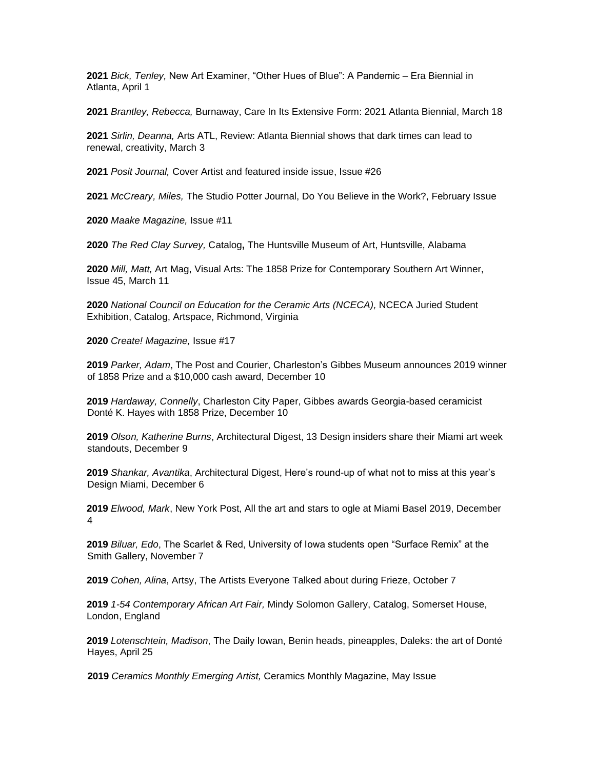*Bick, Tenley,* New Art Examiner, "Other Hues of Blue": A Pandemic – Era Biennial in Atlanta, April 1

*Brantley, Rebecca,* Burnaway, Care In Its Extensive Form: 2021 Atlanta Biennial, March 18

 *Sirlin, Deanna,* Arts ATL, Review: Atlanta Biennial shows that dark times can lead to renewal, creativity, March 3

*Posit Journal,* Cover Artist and featured inside issue, Issue #26

*McCreary, Miles,* The Studio Potter Journal, Do You Believe in the Work?, February Issue

*Maake Magazine,* Issue #11

*The Red Clay Survey,* Catalog**,** The Huntsville Museum of Art, Huntsville, Alabama

 *Mill, Matt,* Art Mag, Visual Arts: The 1858 Prize for Contemporary Southern Art Winner, Issue 45, March 11

 *National Council on Education for the Ceramic Arts (NCECA),* NCECA Juried Student Exhibition, Catalog, Artspace, Richmond, Virginia

*Create! Magazine,* Issue #17

*Parker, Adam*, The Post and Courier, Charleston's Gibbes Museum announces 2019 winner of 1858 Prize and a \$10,000 cash award, December 10

*Hardaway, Connelly*, Charleston City Paper, Gibbes awards Georgia-based ceramicist Donté K. Hayes with 1858 Prize, December 10

*Olson, Katherine Burns*, Architectural Digest, 13 Design insiders share their Miami art week standouts, December 9

*Shankar, Avantika*, Architectural Digest, Here's round-up of what not to miss at this year's Design Miami, December 6

*Elwood, Mark*, New York Post, All the art and stars to ogle at Miami Basel 2019, December 

*Biluar, Edo*, The Scarlet & Red, University of Iowa students open "Surface Remix" at the Smith Gallery, November 7

*Cohen, Alina*, Artsy, The Artists Everyone Talked about during Frieze, October 7

 *1-54 Contemporary African Art Fair,* Mindy Solomon Gallery, Catalog, Somerset House, London, England

*Lotenschtein, Madison*, The Daily Iowan, Benin heads, pineapples, Daleks: the art of Donté Hayes, April 25

*Ceramics Monthly Emerging Artist,* Ceramics Monthly Magazine, May Issue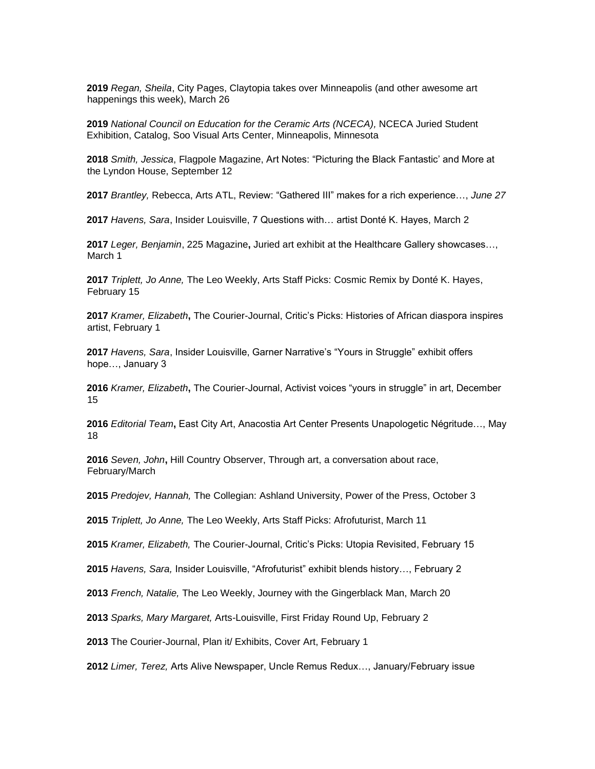*Regan, Sheila*, City Pages, Claytopia takes over Minneapolis (and other awesome art happenings this week), March 26

 *National Council on Education for the Ceramic Arts (NCECA),* NCECA Juried Student Exhibition, Catalog, Soo Visual Arts Center, Minneapolis, Minnesota

*Smith, Jessica*, Flagpole Magazine, Art Notes: "Picturing the Black Fantastic' and More at the Lyndon House, September 12

*Brantley,* Rebecca, Arts ATL, Review: "Gathered III" makes for a rich experience…, *June 27*

*Havens, Sara*, Insider Louisville, 7 Questions with… artist Donté K. Hayes, March 2

*Leger, Benjamin*, 225 Magazine**,** Juried art exhibit at the Healthcare Gallery showcases…, March 1

*Triplett, Jo Anne,* The Leo Weekly, Arts Staff Picks: Cosmic Remix by Donté K. Hayes, February 15

*Kramer, Elizabeth***,** The Courier-Journal, Critic's Picks: Histories of African diaspora inspires artist, February 1

 *Havens, Sara*, Insider Louisville, Garner Narrative's "Yours in Struggle" exhibit offers hope…, January 3

*Kramer, Elizabeth***,** The Courier-Journal, Activist voices "yours in struggle" in art, December 

 *Editorial Team***,** East City Art, Anacostia Art Center Presents Unapologetic Négritude…, May 

*Seven, John***,** Hill Country Observer, Through art, a conversation about race, February/March

*Predojev, Hannah,* The Collegian: Ashland University, Power of the Press, October 3

*Triplett, Jo Anne,* The Leo Weekly, Arts Staff Picks: Afrofuturist, March 11

*Kramer, Elizabeth,* The Courier-Journal, Critic's Picks: Utopia Revisited, February 15

*Havens, Sara,* Insider Louisville, "Afrofuturist" exhibit blends history…, February 2

*French, Natalie,* The Leo Weekly, Journey with the Gingerblack Man, March 20

*Sparks, Mary Margaret,* Arts-Louisville, First Friday Round Up, February 2

The Courier-Journal, Plan it/ Exhibits, Cover Art, February 1

*Limer, Terez,* Arts Alive Newspaper, Uncle Remus Redux…, January/February issue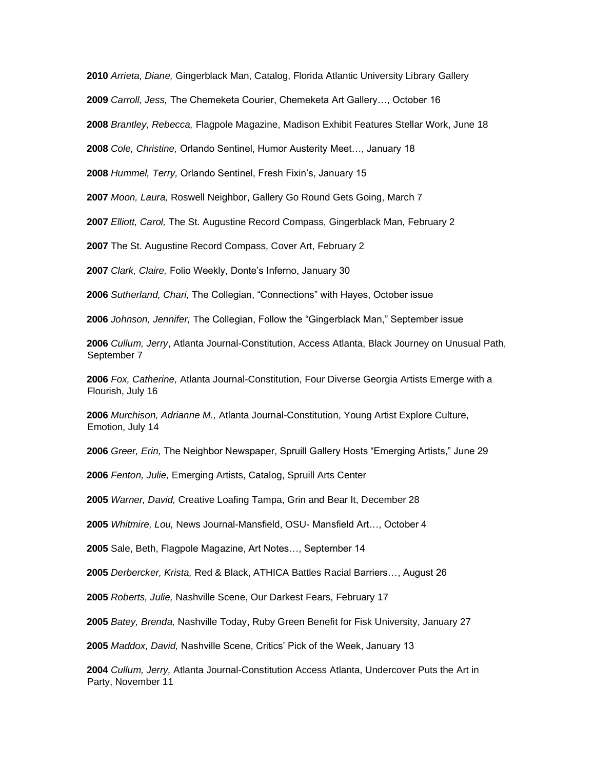*Arrieta, Diane,* Gingerblack Man, Catalog, Florida Atlantic University Library Gallery

*Carroll, Jess,* The Chemeketa Courier, Chemeketa Art Gallery…, October 16

*Brantley, Rebecca,* Flagpole Magazine, Madison Exhibit Features Stellar Work, June 18

*Cole, Christine,* Orlando Sentinel, Humor Austerity Meet…, January 18

*Hummel, Terry,* Orlando Sentinel, Fresh Fixin's, January 15

*Moon, Laura,* Roswell Neighbor, Gallery Go Round Gets Going, March 7

*Elliott, Carol,* The St. Augustine Record Compass, Gingerblack Man, February 2

The St. Augustine Record Compass, Cover Art, February 2

*Clark, Claire,* Folio Weekly, Donte's Inferno, January 30

*Sutherland, Chari,* The Collegian, "Connections" with Hayes, October issue

*Johnson, Jennifer,* The Collegian, Follow the "Gingerblack Man," September issue

 *Cullum, Jerry*, Atlanta Journal-Constitution, Access Atlanta, Black Journey on Unusual Path, September 7

 *Fox, Catherine,* Atlanta Journal-Constitution, Four Diverse Georgia Artists Emerge with a Flourish, July 16

 *Murchison, Adrianne M.,* Atlanta Journal-Constitution, Young Artist Explore Culture, Emotion, July 14

*Greer, Erin,* The Neighbor Newspaper, Spruill Gallery Hosts "Emerging Artists," June 29

*Fenton, Julie,* Emerging Artists, Catalog, Spruill Arts Center

*Warner, David,* Creative Loafing Tampa, Grin and Bear It, December 28

*Whitmire, Lou,* News Journal-Mansfield, OSU- Mansfield Art…, October 4

Sale, Beth, Flagpole Magazine, Art Notes…, September 14

*Derbercker, Krista,* Red & Black, ATHICA Battles Racial Barriers…, August 26

*Roberts, Julie,* Nashville Scene, Our Darkest Fears, February 17

*Batey, Brenda,* Nashville Today, Ruby Green Benefit for Fisk University, January 27

*Maddox, David,* Nashville Scene, Critics' Pick of the Week, January 13

 *Cullum, Jerry,* Atlanta Journal-Constitution Access Atlanta, Undercover Puts the Art in Party, November 11